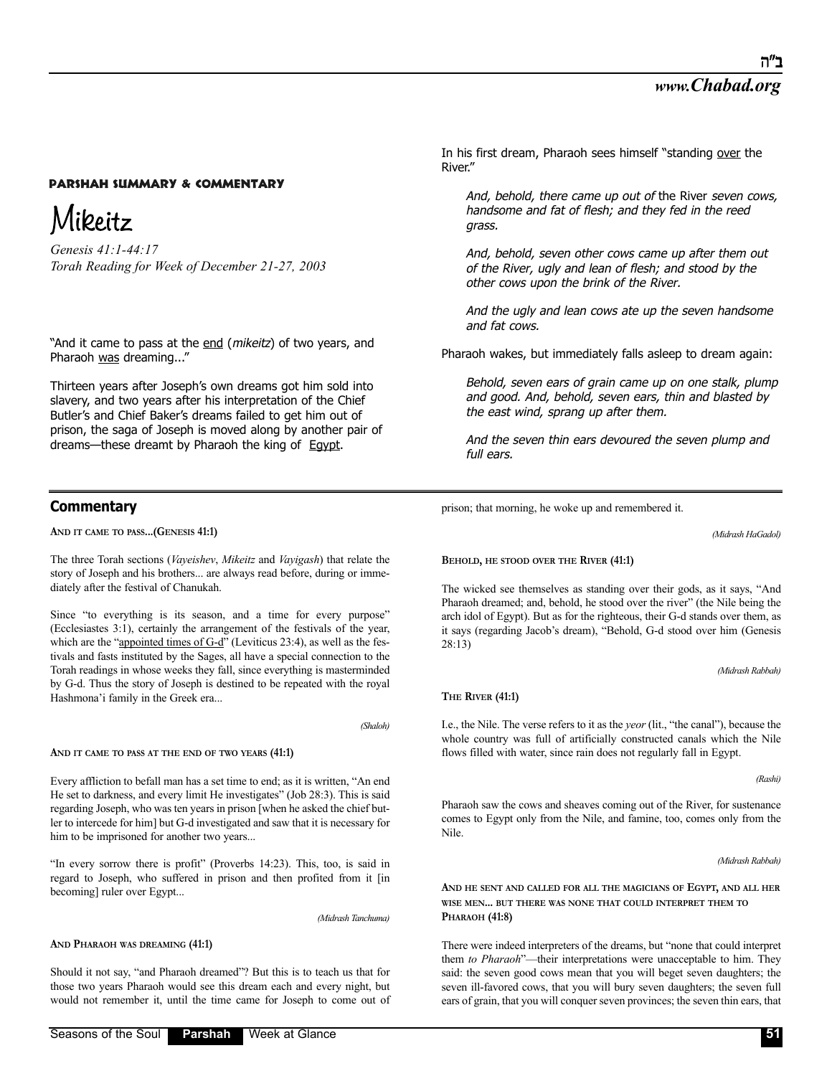# Mikeitz

*Genesis 41:1-44:17 Torah Reading for Week of December 21-27, 2003*

"And it came to pass at the end (mikeitz) of two years, and Pharaoh was dreaming..."

Thirteen years after Joseph's own dreams got him sold into slavery, and two years after his interpretation of the Chief Butler's and Chief Baker's dreams failed to get him out of prison, the saga of Joseph is moved along by another pair of dreams—these dreamt by Pharaoh the king of Egypt.

## **Commentary**

**AND IT CAME TO PASS...(GENESIS 41:1)** 

The three Torah sections (*Vayeishev*, *Mikeitz* and *Vayigash*) that relate the story of Joseph and his brothers... are always read before, during or immediately after the festival of Chanukah.

Since "to everything is its season, and a time for every purpose" (Ecclesiastes 3:1), certainly the arrangement of the festivals of the year, which are the "appointed times of  $G-d$ " (Leviticus 23:4), as well as the festivals and fasts instituted by the Sages, all have a special connection to the Torah readings in whose weeks they fall, since everything is masterminded by G-d. Thus the story of Joseph is destined to be repeated with the royal Hashmona'i family in the Greek era...

*(Shaloh)*

#### **AND IT CAME TO PASS AT THE END OF TWO YEARS (41:1)**

Every affliction to befall man has a set time to end; as it is written, "An end He set to darkness, and every limit He investigates" (Job 28:3). This is said regarding Joseph, who was ten years in prison [when he asked the chief butler to intercede for him] but G-d investigated and saw that it is necessary for him to be imprisoned for another two years...

"In every sorrow there is profit" (Proverbs 14:23). This, too, is said in regard to Joseph, who suffered in prison and then profited from it [in becoming] ruler over Egypt...

*(Midrash Tanchuma)*

**AND PHARAOH WAS DREAMING (41:1)**

Should it not say, "and Pharaoh dreamed"? But this is to teach us that for those two years Pharaoh would see this dream each and every night, but would not remember it, until the time came for Joseph to come out of In his first dream, Pharaoh sees himself "standing over the River."

And, behold, there came up out of the River seven cows, handsome and fat of flesh; and they fed in the reed grass.

And, behold, seven other cows came up after them out of the River, ugly and lean of flesh; and stood by the other cows upon the brink of the River.

And the ugly and lean cows ate up the seven handsome and fat cows.

Pharaoh wakes, but immediately falls asleep to dream again:

Behold, seven ears of grain came up on one stalk, plump and good. And, behold, seven ears, thin and blasted by the east wind, sprang up after them.

And the seven thin ears devoured the seven plump and full ears.

prison; that morning, he woke up and remembered it.

*(Midrash HaGadol)*

#### **BEHOLD, HE STOOD OVER THE RIVER (41:1)**

The wicked see themselves as standing over their gods, as it says, "And Pharaoh dreamed; and, behold, he stood over the river" (the Nile being the arch idol of Egypt). But as for the righteous, their G-d stands over them, as it says (regarding Jacob's dream), "Behold, G-d stood over him (Genesis 28:13)

*(Midrash Rabbah)*

### **THE RIVER (41:1)**

I.e., the Nile. The verse refers to it as the *yeor* (lit., "the canal"), because the whole country was full of artificially constructed canals which the Nile flows filled with water, since rain does not regularly fall in Egypt.

*(Rashi)*

Pharaoh saw the cows and sheaves coming out of the River, for sustenance comes to Egypt only from the Nile, and famine, too, comes only from the Nile.

*(Midrash Rabbah)*

**AND HE SENT AND CALLED FOR ALL THE MAGICIANS OF EGYPT, AND ALL HER WISE MEN... BUT THERE WAS NONE THAT COULD INTERPRET THEM TO PHARAOH (41:8)**

There were indeed interpreters of the dreams, but "none that could interpret them *to Pharaoh*"—their interpretations were unacceptable to him. They said: the seven good cows mean that you will beget seven daughters; the seven ill-favored cows, that you will bury seven daughters; the seven full ears of grain, that you will conquer seven provinces; the seven thin ears, that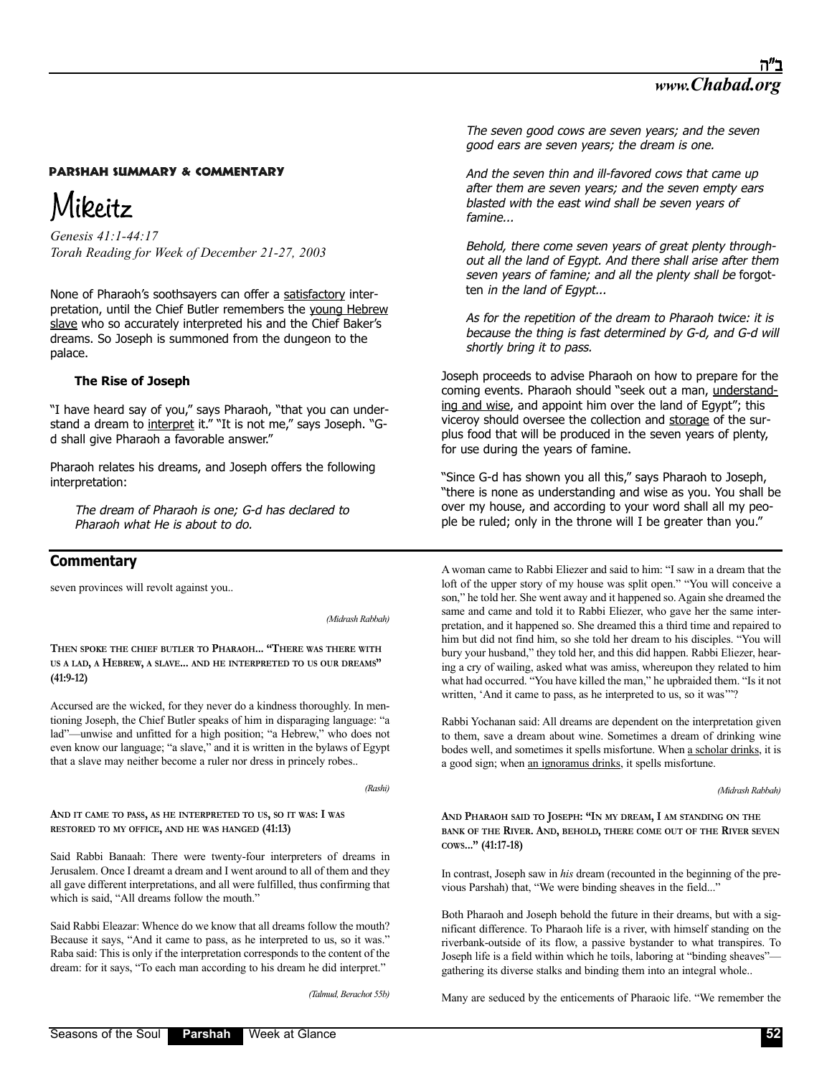# Mikeitz

*Genesis 41:1-44:17 Torah Reading for Week of December 21-27, 2003*

None of Pharaoh's soothsayers can offer a satisfactory interpretation, until the Chief Butler remembers the young Hebrew slave who so accurately interpreted his and the Chief Baker's dreams. So Joseph is summoned from the dungeon to the palace.

### **The Rise of Joseph**

"I have heard say of you," says Pharaoh, "that you can understand a dream to interpret it." "It is not me," says Joseph. "Gd shall give Pharaoh a favorable answer."

Pharaoh relates his dreams, and Joseph offers the following interpretation:

The dream of Pharaoh is one; G-d has declared to Pharaoh what He is about to do.

## **Commentary**

seven provinces will revolt against you..

*(Midrash Rabbah)*

**THEN SPOKE THE CHIEF BUTLER TO PHARAOH... "THERE WAS THERE WITH US A LAD, A HEBREW, A SLAVE... AND HE INTERPRETED TO US OUR DREAMS" (41:9-12)**

Accursed are the wicked, for they never do a kindness thoroughly. In mentioning Joseph, the Chief Butler speaks of him in disparaging language: "a lad"—unwise and unfitted for a high position; "a Hebrew," who does not even know our language; "a slave," and it is written in the bylaws of Egypt that a slave may neither become a ruler nor dress in princely robes..

*(Rashi)*

**AND IT CAME TO PASS, AS HE INTERPRETED TO US, SO IT WAS: I WAS RESTORED TO MY OFFICE, AND HE WAS HANGED (41:13)**

Said Rabbi Banaah: There were twenty-four interpreters of dreams in Jerusalem. Once I dreamt a dream and I went around to all of them and they all gave different interpretations, and all were fulfilled, thus confirming that which is said, "All dreams follow the mouth."

Said Rabbi Eleazar: Whence do we know that all dreams follow the mouth? Because it says, "And it came to pass, as he interpreted to us, so it was." Raba said: This is only if the interpretation corresponds to the content of the dream: for it says, "To each man according to his dream he did interpret."

*(Talmud, Berachot 55b)*

The seven good cows are seven years; and the seven good ears are seven years; the dream is one.

And the seven thin and ill-favored cows that came up after them are seven years; and the seven empty ears blasted with the east wind shall be seven years of famine...

Behold, there come seven years of great plenty throughout all the land of Egypt. And there shall arise after them seven years of famine; and all the plenty shall be forgotten in the land of Egypt...

As for the repetition of the dream to Pharaoh twice: it is because the thing is fast determined by G-d, and G-d will shortly bring it to pass.

Joseph proceeds to advise Pharaoh on how to prepare for the coming events. Pharaoh should "seek out a man, understanding and wise, and appoint him over the land of Egypt"; this viceroy should oversee the collection and storage of the surplus food that will be produced in the seven years of plenty, for use during the years of famine.

"Since G-d has shown you all this," says Pharaoh to Joseph, "there is none as understanding and wise as you. You shall be over my house, and according to your word shall all my people be ruled; only in the throne will I be greater than you."

A woman came to Rabbi Eliezer and said to him: "I saw in a dream that the loft of the upper story of my house was split open." "You will conceive a son," he told her. She went away and it happened so. Again she dreamed the same and came and told it to Rabbi Eliezer, who gave her the same interpretation, and it happened so. She dreamed this a third time and repaired to him but did not find him, so she told her dream to his disciples. "You will bury your husband," they told her, and this did happen. Rabbi Eliezer, hearing a cry of wailing, asked what was amiss, whereupon they related to him what had occurred. "You have killed the man," he upbraided them. "Is it not written, 'And it came to pass, as he interpreted to us, so it was'"?

Rabbi Yochanan said: All dreams are dependent on the interpretation given to them, save a dream about wine. Sometimes a dream of drinking wine bodes well, and sometimes it spells misfortune. When a scholar drinks, it is a good sign; when an ignoramus drinks, it spells misfortune.

*(Midrash Rabbah)*

**AND PHARAOH SAID TO JOSEPH: "IN MY DREAM, I AM STANDING ON THE BANK OF THE RIVER. AND, BEHOLD, THERE COME OUT OF THE RIVER SEVEN COWS..." (41:17-18)**

In contrast, Joseph saw in *his* dream (recounted in the beginning of the previous Parshah) that, "We were binding sheaves in the field..."

Both Pharaoh and Joseph behold the future in their dreams, but with a significant difference. To Pharaoh life is a river, with himself standing on the riverbank-outside of its flow, a passive bystander to what transpires. To Joseph life is a field within which he toils, laboring at "binding sheaves" gathering its diverse stalks and binding them into an integral whole..

Many are seduced by the enticements of Pharaoic life. "We remember the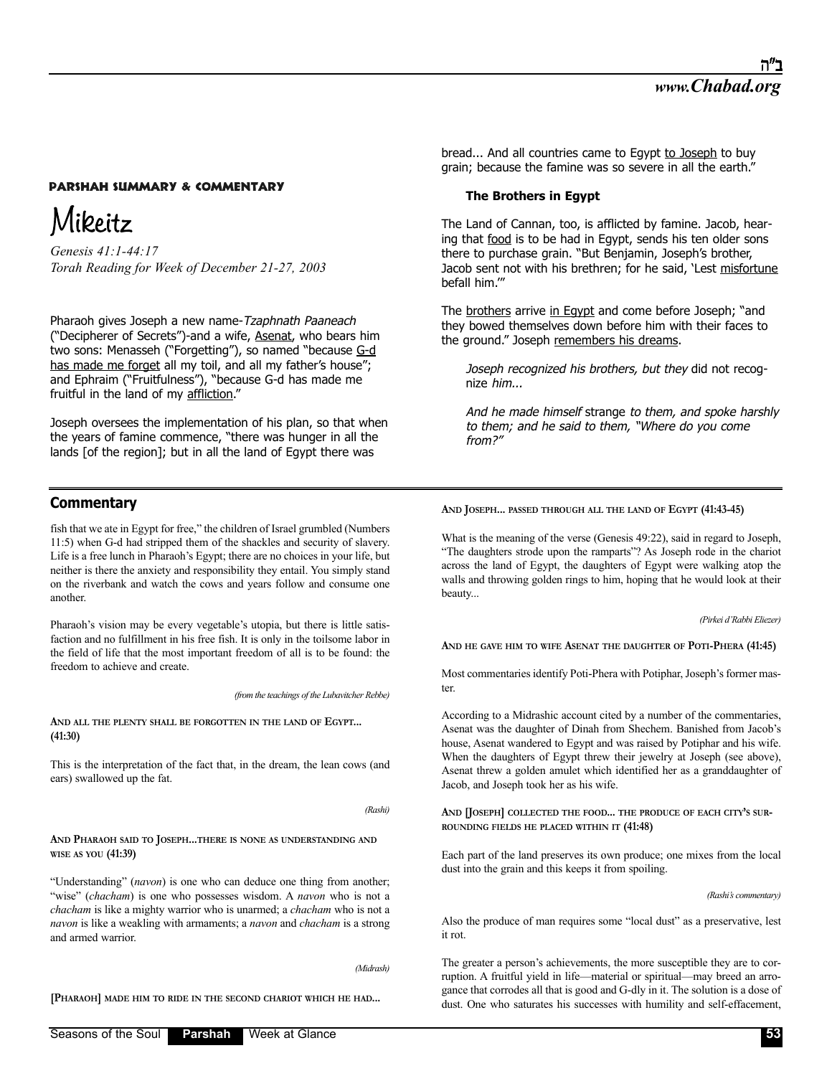# Mikeitz

*Genesis 41:1-44:17 Torah Reading for Week of December 21-27, 2003*

Pharaoh gives Joseph a new name-Tzaphnath Paaneach ("Decipherer of Secrets")-and a wife, Asenat, who bears him two sons: Menasseh ("Forgetting"), so named "because G-d has made me forget all my toil, and all my father's house"; and Ephraim ("Fruitfulness"), "because G-d has made me fruitful in the land of my affliction."

Joseph oversees the implementation of his plan, so that when the years of famine commence, "there was hunger in all the lands [of the region]; but in all the land of Egypt there was

# **Commentary**

fish that we ate in Egypt for free," the children of Israel grumbled (Numbers 11:5) when G-d had stripped them of the shackles and security of slavery. Life is a free lunch in Pharaoh's Egypt; there are no choices in your life, but neither is there the anxiety and responsibility they entail. You simply stand on the riverbank and watch the cows and years follow and consume one another.

Pharaoh's vision may be every vegetable's utopia, but there is little satisfaction and no fulfillment in his free fish. It is only in the toilsome labor in the field of life that the most important freedom of all is to be found: the freedom to achieve and create.

*(from the teachings of the Lubavitcher Rebbe)*

### **AND ALL THE PLENTY SHALL BE FORGOTTEN IN THE LAND OF EGYPT... (41:30)**

This is the interpretation of the fact that, in the dream, the lean cows (and ears) swallowed up the fat.

*(Rashi)*

### **AND PHARAOH SAID TO JOSEPH...THERE IS NONE AS UNDERSTANDING AND WISE AS YOU (41:39)**

"Understanding" (*navon*) is one who can deduce one thing from another; "wise" (*chacham*) is one who possesses wisdom. A *navon* who is not a *chacham* is like a mighty warrior who is unarmed; a *chacham* who is not a *navon* is like a weakling with armaments; a *navon* and *chacham* is a strong and armed warrior.

*(Midrash)*

**[PHARAOH] MADE HIM TO RIDE IN THE SECOND CHARIOT WHICH HE HAD...**

bread... And all countries came to Egypt to Joseph to buy grain; because the famine was so severe in all the earth."

### **The Brothers in Egypt**

The Land of Cannan, too, is afflicted by famine. Jacob, hearing that food is to be had in Egypt, sends his ten older sons there to purchase grain. "But Benjamin, Joseph's brother, Jacob sent not with his brethren; for he said, 'Lest misfortune befall him.'"

The brothers arrive in Egypt and come before Joseph; "and they bowed themselves down before him with their faces to the ground." Joseph remembers his dreams.

Joseph recognized his brothers, but they did not recognize him...

And he made himself strange to them, and spoke harshly to them; and he said to them, "Where do you come from?"

**AND JOSEPH... PASSED THROUGH ALL THE LAND OF EGYPT (41:43-45)**

What is the meaning of the verse (Genesis 49:22), said in regard to Joseph, "The daughters strode upon the ramparts"? As Joseph rode in the chariot across the land of Egypt, the daughters of Egypt were walking atop the walls and throwing golden rings to him, hoping that he would look at their beauty...

*(Pirkei d'Rabbi Eliezer)*

**AND HE GAVE HIM TO WIFE ASENAT THE DAUGHTER OF POTI-PHERA (41:45)**

Most commentaries identify Poti-Phera with Potiphar, Joseph's former master.

According to a Midrashic account cited by a number of the commentaries, Asenat was the daughter of Dinah from Shechem. Banished from Jacob's house, Asenat wandered to Egypt and was raised by Potiphar and his wife. When the daughters of Egypt threw their jewelry at Joseph (see above), Asenat threw a golden amulet which identified her as a granddaughter of Jacob, and Joseph took her as his wife.

**AND [JOSEPH] COLLECTED THE FOOD... THE PRODUCE OF EACH CITY'S SUR-ROUNDING FIELDS HE PLACED WITHIN IT (41:48)**

Each part of the land preserves its own produce; one mixes from the local dust into the grain and this keeps it from spoiling.

*(Rashi's commentary)*

Also the produce of man requires some "local dust" as a preservative, lest it rot.

The greater a person's achievements, the more susceptible they are to corruption. A fruitful yield in life—material or spiritual—may breed an arrogance that corrodes all that is good and G-dly in it. The solution is a dose of dust. One who saturates his successes with humility and self-effacement,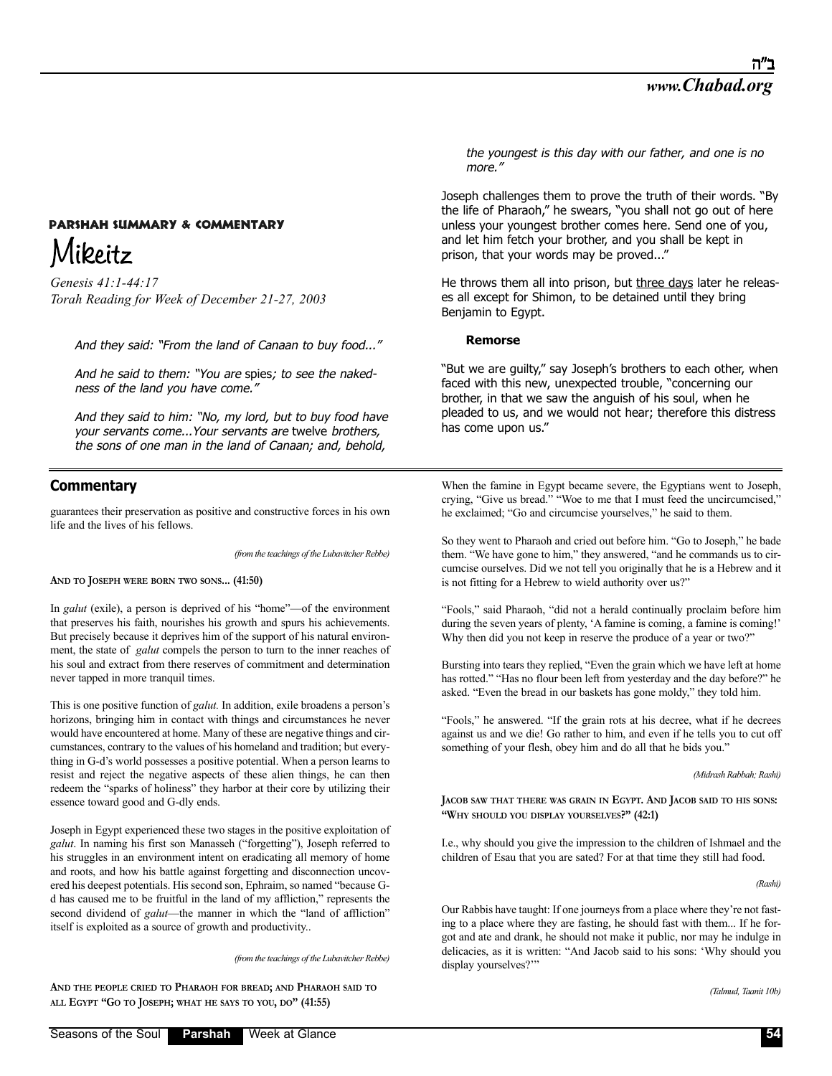# **PARSHAH SUMMARY & COMMENTARY** Mikeitz

*Genesis 41:1-44:17 Torah Reading for Week of December 21-27, 2003*

And they said: "From the land of Canaan to buy food..."

And he said to them: "You are spies; to see the nakedness of the land you have come."

And they said to him: "No, my lord, but to buy food have your servants come...Your servants are twelve brothers, the sons of one man in the land of Canaan; and, behold,

# **Commentary**

guarantees their preservation as positive and constructive forces in his own life and the lives of his fellows.

*(from the teachings of the Lubavitcher Rebbe)*

**AND TO JOSEPH WERE BORN TWO SONS... (41:50)**

In *galut* (exile), a person is deprived of his "home"—of the environment that preserves his faith, nourishes his growth and spurs his achievements. But precisely because it deprives him of the support of his natural environment, the state of *galut* compels the person to turn to the inner reaches of his soul and extract from there reserves of commitment and determination never tapped in more tranquil times.

This is one positive function of *galut.* In addition, exile broadens a person's horizons, bringing him in contact with things and circumstances he never would have encountered at home. Many of these are negative things and circumstances, contrary to the values of his homeland and tradition; but everything in G-d's world possesses a positive potential. When a person learns to resist and reject the negative aspects of these alien things, he can then redeem the "sparks of holiness" they harbor at their core by utilizing their essence toward good and G-dly ends.

Joseph in Egypt experienced these two stages in the positive exploitation of *galut*. In naming his first son Manasseh ("forgetting"), Joseph referred to his struggles in an environment intent on eradicating all memory of home and roots, and how his battle against forgetting and disconnection uncovered his deepest potentials. His second son, Ephraim, so named "because Gd has caused me to be fruitful in the land of my affliction," represents the second dividend of *galut*—the manner in which the "land of affliction" itself is exploited as a source of growth and productivity..

*(from the teachings of the Lubavitcher Rebbe)*

**AND THE PEOPLE CRIED TO PHARAOH FOR BREAD; AND PHARAOH SAID TO ALL EGYPT "GO TO JOSEPH; WHAT HE SAYS TO YOU, DO" (41:55)**

the youngest is this day with our father, and one is no more."

Joseph challenges them to prove the truth of their words. "By the life of Pharaoh," he swears, "you shall not go out of here unless your youngest brother comes here. Send one of you, and let him fetch your brother, and you shall be kept in prison, that your words may be proved..."

He throws them all into prison, but three days later he releases all except for Shimon, to be detained until they bring Benjamin to Egypt.

### **Remorse**

"But we are guilty," say Joseph's brothers to each other, when faced with this new, unexpected trouble, "concerning our brother, in that we saw the anguish of his soul, when he pleaded to us, and we would not hear; therefore this distress has come upon us."

When the famine in Egypt became severe, the Egyptians went to Joseph, crying, "Give us bread." "Woe to me that I must feed the uncircumcised," he exclaimed; "Go and circumcise yourselves," he said to them.

So they went to Pharaoh and cried out before him. "Go to Joseph," he bade them. "We have gone to him," they answered, "and he commands us to circumcise ourselves. Did we not tell you originally that he is a Hebrew and it is not fitting for a Hebrew to wield authority over us?"

"Fools," said Pharaoh, "did not a herald continually proclaim before him during the seven years of plenty, 'A famine is coming, a famine is coming!' Why then did you not keep in reserve the produce of a year or two?"

Bursting into tears they replied, "Even the grain which we have left at home has rotted." "Has no flour been left from yesterday and the day before?" he asked. "Even the bread in our baskets has gone moldy," they told him.

"Fools," he answered. "If the grain rots at his decree, what if he decrees against us and we die! Go rather to him, and even if he tells you to cut off something of your flesh, obey him and do all that he bids you."

*(Midrash Rabbah; Rashi)*

**JACOB SAW THAT THERE WAS GRAIN IN EGYPT. AND JACOB SAID TO HIS SONS: "WHY SHOULD YOU DISPLAY YOURSELVES?" (42:1)**

I.e., why should you give the impression to the children of Ishmael and the children of Esau that you are sated? For at that time they still had food.

*(Rashi)*

Our Rabbis have taught: If one journeys from a place where they're not fasting to a place where they are fasting, he should fast with them... If he forgot and ate and drank, he should not make it public, nor may he indulge in delicacies, as it is written: "And Jacob said to his sons: 'Why should you display yourselves?""

*(Talmud, Taanit 10b)*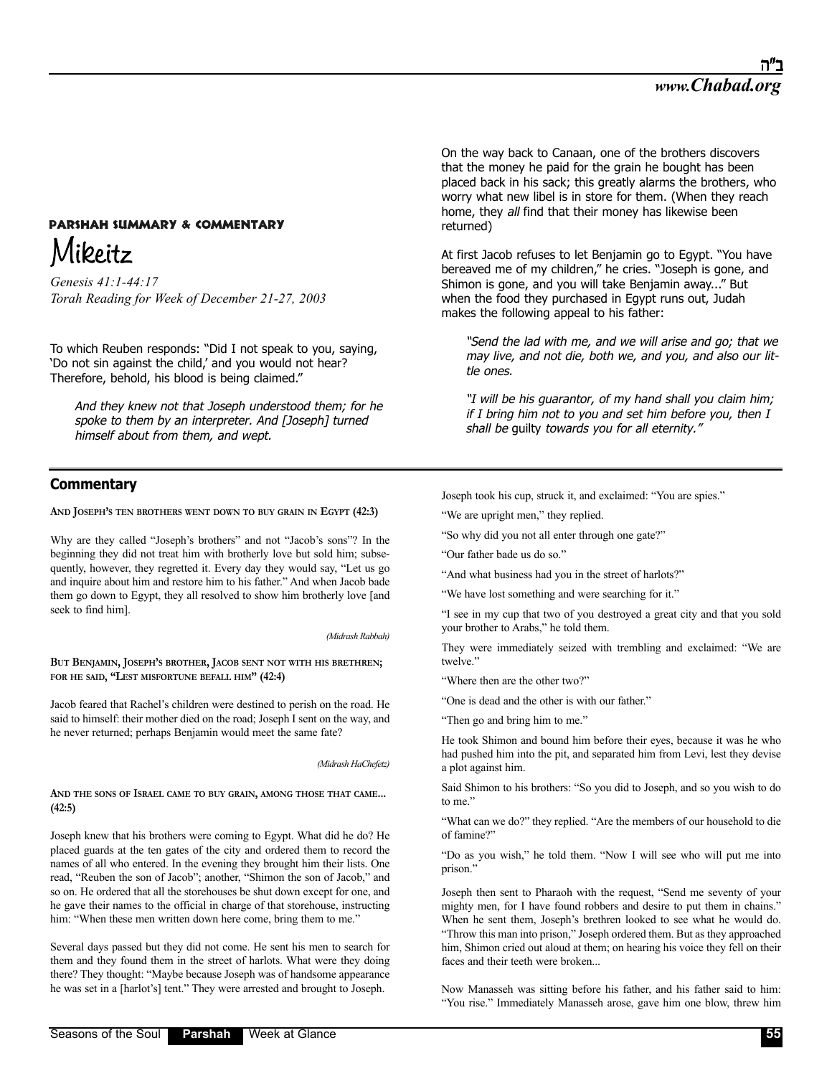# **PARSHAH SUMMARY & COMMENTARY** Mikeitz

*Genesis 41:1-44:17 Torah Reading for Week of December 21-27, 2003*

To which Reuben responds: "Did I not speak to you, saying, 'Do not sin against the child,' and you would not hear? Therefore, behold, his blood is being claimed."

And they knew not that Joseph understood them; for he spoke to them by an interpreter. And [Joseph] turned himself about from them, and wept.

# **Commentary**

**AND JOSEPH'S TEN BROTHERS WENT DOWN TO BUY GRAIN IN EGYPT (42:3)**

Why are they called "Joseph's brothers" and not "Jacob's sons"? In the beginning they did not treat him with brotherly love but sold him; subsequently, however, they regretted it. Every day they would say, "Let us go and inquire about him and restore him to his father." And when Jacob bade them go down to Egypt, they all resolved to show him brotherly love [and seek to find him].

*(Midrash Rabbah)*

**BUT BENJAMIN, JOSEPH'S BROTHER, JACOB SENT NOT WITH HIS BRETHREN; FOR HE SAID, "LEST MISFORTUNE BEFALL HIM" (42:4)**

Jacob feared that Rachel's children were destined to perish on the road. He said to himself: their mother died on the road; Joseph I sent on the way, and he never returned; perhaps Benjamin would meet the same fate?

*(Midrash HaChefetz)*

**AND THE SONS OF ISRAEL CAME TO BUY GRAIN, AMONG THOSE THAT CAME... (42:5)**

Joseph knew that his brothers were coming to Egypt. What did he do? He placed guards at the ten gates of the city and ordered them to record the names of all who entered. In the evening they brought him their lists. One read, "Reuben the son of Jacob"; another, "Shimon the son of Jacob," and so on. He ordered that all the storehouses be shut down except for one, and he gave their names to the official in charge of that storehouse, instructing him: "When these men written down here come, bring them to me."

Several days passed but they did not come. He sent his men to search for them and they found them in the street of harlots. What were they doing there? They thought: "Maybe because Joseph was of handsome appearance he was set in a [harlot's] tent." They were arrested and brought to Joseph.

On the way back to Canaan, one of the brothers discovers that the money he paid for the grain he bought has been placed back in his sack; this greatly alarms the brothers, who worry what new libel is in store for them. (When they reach home, they all find that their money has likewise been returned)

At first Jacob refuses to let Benjamin go to Egypt. "You have bereaved me of my children," he cries. "Joseph is gone, and Shimon is gone, and you will take Benjamin away..." But when the food they purchased in Egypt runs out, Judah makes the following appeal to his father:

"Send the lad with me, and we will arise and go; that we may live, and not die, both we, and you, and also our little ones.

"I will be his guarantor, of my hand shall you claim him; if I bring him not to you and set him before you, then I shall be guilty towards you for all eternity."

Joseph took his cup, struck it, and exclaimed: "You are spies."

"We are upright men," they replied.

"So why did you not all enter through one gate?"

"Our father bade us do so."

"And what business had you in the street of harlots?"

"We have lost something and were searching for it."

"I see in my cup that two of you destroyed a great city and that you sold your brother to Arabs," he told them.

They were immediately seized with trembling and exclaimed: "We are twelve."

"Where then are the other two?"

"One is dead and the other is with our father."

"Then go and bring him to me."

He took Shimon and bound him before their eyes, because it was he who had pushed him into the pit, and separated him from Levi, lest they devise a plot against him.

Said Shimon to his brothers: "So you did to Joseph, and so you wish to do to me."

"What can we do?" they replied. "Are the members of our household to die of famine?"

"Do as you wish," he told them. "Now I will see who will put me into prison."

Joseph then sent to Pharaoh with the request, "Send me seventy of your mighty men, for I have found robbers and desire to put them in chains." When he sent them, Joseph's brethren looked to see what he would do. "Throw this man into prison," Joseph ordered them. But as they approached him, Shimon cried out aloud at them; on hearing his voice they fell on their faces and their teeth were broken...

Now Manasseh was sitting before his father, and his father said to him: "You rise." Immediately Manasseh arose, gave him one blow, threw him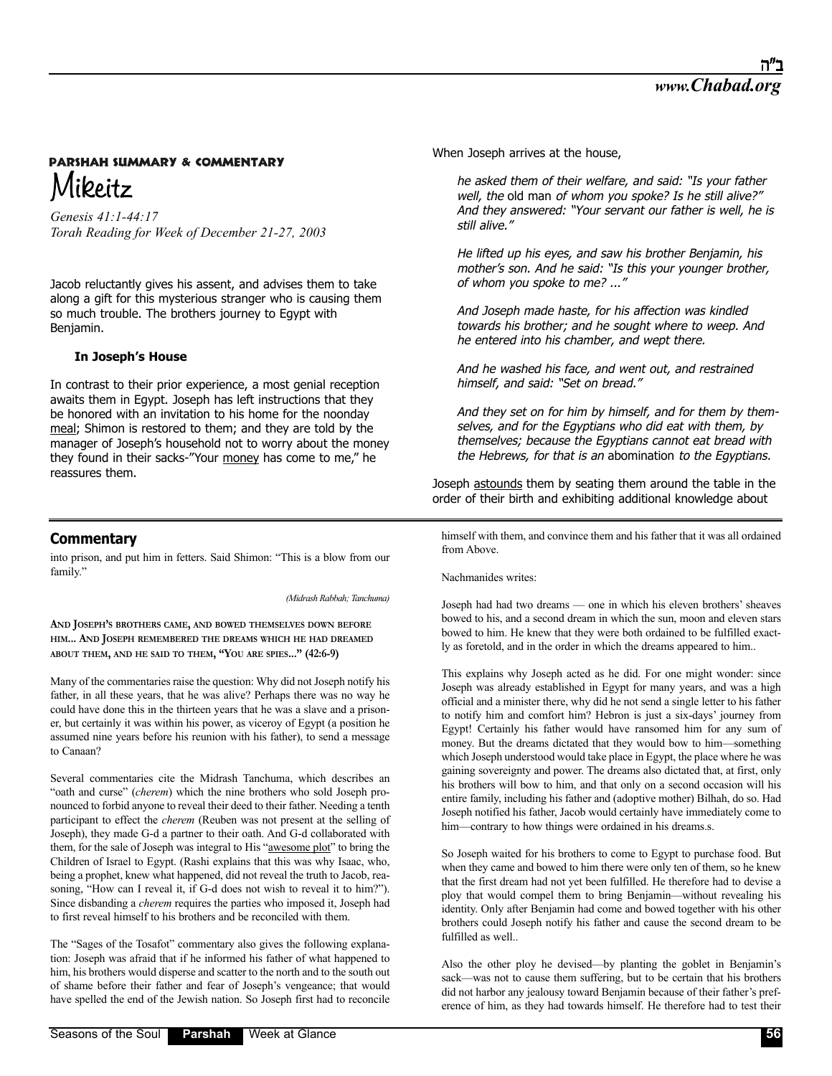# **PARSHAH SUMMARY & COMMENTARY** Mikeitz

*Genesis 41:1-44:17 Torah Reading for Week of December 21-27, 2003*

Jacob reluctantly gives his assent, and advises them to take along a gift for this mysterious stranger who is causing them so much trouble. The brothers journey to Egypt with Benjamin.

### **In Joseph's House**

In contrast to their prior experience, a most genial reception awaits them in Egypt. Joseph has left instructions that they be honored with an invitation to his home for the noonday meal; Shimon is restored to them; and they are told by the manager of Joseph's household not to worry about the money they found in their sacks-"Your money has come to me," he reassures them.

### **Commentary**

into prison, and put him in fetters. Said Shimon: "This is a blow from our family."

*(Midrash Rabbah; Tanchuma)*

**AND JOSEPH'S BROTHERS CAME, AND BOWED THEMSELVES DOWN BEFORE HIM... AND JOSEPH REMEMBERED THE DREAMS WHICH HE HAD DREAMED ABOUT THEM, AND HE SAID TO THEM, "YOU ARE SPIES..." (42:6-9)**

Many of the commentaries raise the question: Why did not Joseph notify his father, in all these years, that he was alive? Perhaps there was no way he could have done this in the thirteen years that he was a slave and a prisoner, but certainly it was within his power, as viceroy of Egypt (a position he assumed nine years before his reunion with his father), to send a message to Canaan?

Several commentaries cite the Midrash Tanchuma, which describes an "oath and curse" (*cherem*) which the nine brothers who sold Joseph pronounced to forbid anyone to reveal their deed to their father. Needing a tenth participant to effect the *cherem* (Reuben was not present at the selling of Joseph), they made G-d a partner to their oath. And G-d collaborated with them, for the sale of Joseph was integral to His "awesome plot" to bring the Children of Israel to Egypt. (Rashi explains that this was why Isaac, who, being a prophet, knew what happened, did not reveal the truth to Jacob, reasoning, "How can I reveal it, if G-d does not wish to reveal it to him?"). Since disbanding a *cherem* requires the parties who imposed it, Joseph had to first reveal himself to his brothers and be reconciled with them.

The "Sages of the Tosafot" commentary also gives the following explanation: Joseph was afraid that if he informed his father of what happened to him, his brothers would disperse and scatter to the north and to the south out of shame before their father and fear of Joseph's vengeance; that would have spelled the end of the Jewish nation. So Joseph first had to reconcile When Joseph arrives at the house,

he asked them of their welfare, and said: "Is your father well, the old man of whom you spoke? Is he still alive?" And they answered: "Your servant our father is well, he is still alive."

He lifted up his eyes, and saw his brother Benjamin, his mother's son. And he said: "Is this your younger brother, of whom you spoke to me? ..."

And Joseph made haste, for his affection was kindled towards his brother; and he sought where to weep. And he entered into his chamber, and wept there.

And he washed his face, and went out, and restrained himself, and said: "Set on bread."

And they set on for him by himself, and for them by themselves, and for the Egyptians who did eat with them, by themselves; because the Egyptians cannot eat bread with the Hebrews, for that is an abomination to the Egyptians.

Joseph astounds them by seating them around the table in the order of their birth and exhibiting additional knowledge about

himself with them, and convince them and his father that it was all ordained from Above.

Nachmanides writes:

Joseph had had two dreams — one in which his eleven brothers' sheaves bowed to his, and a second dream in which the sun, moon and eleven stars bowed to him. He knew that they were both ordained to be fulfilled exactly as foretold, and in the order in which the dreams appeared to him..

This explains why Joseph acted as he did. For one might wonder: since Joseph was already established in Egypt for many years, and was a high official and a minister there, why did he not send a single letter to his father to notify him and comfort him? Hebron is just a six-days' journey from Egypt! Certainly his father would have ransomed him for any sum of money. But the dreams dictated that they would bow to him—something which Joseph understood would take place in Egypt, the place where he was gaining sovereignty and power. The dreams also dictated that, at first, only his brothers will bow to him, and that only on a second occasion will his entire family, including his father and (adoptive mother) Bilhah, do so. Had Joseph notified his father, Jacob would certainly have immediately come to him—contrary to how things were ordained in his dreams.s.

So Joseph waited for his brothers to come to Egypt to purchase food. But when they came and bowed to him there were only ten of them, so he knew that the first dream had not yet been fulfilled. He therefore had to devise a ploy that would compel them to bring Benjamin—without revealing his identity. Only after Benjamin had come and bowed together with his other brothers could Joseph notify his father and cause the second dream to be fulfilled as well..

Also the other ploy he devised—by planting the goblet in Benjamin's sack—was not to cause them suffering, but to be certain that his brothers did not harbor any jealousy toward Benjamin because of their father's preference of him, as they had towards himself. He therefore had to test their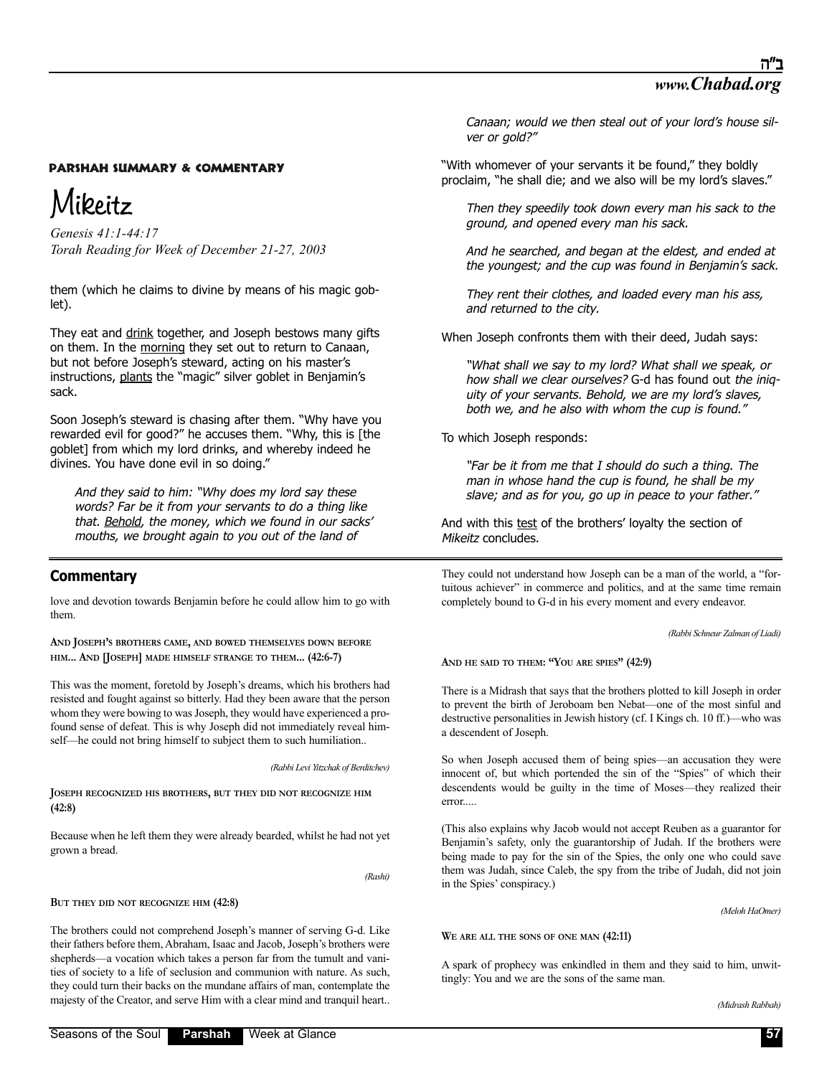# Mikeitz

*Genesis 41:1-44:17 Torah Reading for Week of December 21-27, 2003*

them (which he claims to divine by means of his magic goblet).

They eat and drink together, and Joseph bestows many gifts on them. In the morning they set out to return to Canaan, but not before Joseph's steward, acting on his master's instructions, plants the "magic" silver goblet in Benjamin's sack.

Soon Joseph's steward is chasing after them. "Why have you rewarded evil for good?" he accuses them. "Why, this is [the goblet] from which my lord drinks, and whereby indeed he divines. You have done evil in so doing."

And they said to him: "Why does my lord say these words? Far be it from your servants to do a thing like that. Behold, the money, which we found in our sacks' mouths, we brought again to you out of the land of

# **Commentary**

love and devotion towards Benjamin before he could allow him to go with them.

**AND JOSEPH'S BROTHERS CAME, AND BOWED THEMSELVES DOWN BEFORE HIM... AND [JOSEPH] MADE HIMSELF STRANGE TO THEM... (42:6-7)**

This was the moment, foretold by Joseph's dreams, which his brothers had resisted and fought against so bitterly. Had they been aware that the person whom they were bowing to was Joseph, they would have experienced a profound sense of defeat. This is why Joseph did not immediately reveal himself—he could not bring himself to subject them to such humiliation..

*(Rabbi Levi Yitzchak of Berditchev)*

**JOSEPH RECOGNIZED HIS BROTHERS, BUT THEY DID NOT RECOGNIZE HIM (42:8)**

Because when he left them they were already bearded, whilst he had not yet grown a bread.

*(Rashi)*

**BUT THEY DID NOT RECOGNIZE HIM (42:8)**

The brothers could not comprehend Joseph's manner of serving G-d. Like their fathers before them, Abraham, Isaac and Jacob, Joseph's brothers were shepherds—a vocation which takes a person far from the tumult and vanities of society to a life of seclusion and communion with nature. As such, they could turn their backs on the mundane affairs of man, contemplate the majesty of the Creator, and serve Him with a clear mind and tranquil heart..

"With whomever of your servants it be found," they boldly proclaim, "he shall die; and we also will be my lord's slaves."

Then they speedily took down every man his sack to the ground, and opened every man his sack.

And he searched, and began at the eldest, and ended at the youngest; and the cup was found in Benjamin's sack.

They rent their clothes, and loaded every man his ass, and returned to the city.

When Joseph confronts them with their deed, Judah says:

"What shall we say to my lord? What shall we speak, or how shall we clear ourselves? G-d has found out the iniquity of your servants. Behold, we are my lord's slaves, both we, and he also with whom the cup is found."

To which Joseph responds:

"Far be it from me that I should do such a thing. The man in whose hand the cup is found, he shall be my slave; and as for you, go up in peace to your father.'

And with this test of the brothers' loyalty the section of Mikeitz concludes.

They could not understand how Joseph can be a man of the world, a "fortuitous achiever" in commerce and politics, and at the same time remain completely bound to G-d in his every moment and every endeavor.

*(Rabbi Schneur Zalman of Liadi)*

**AND HE SAID TO THEM: "YOU ARE SPIES" (42:9)**

There is a Midrash that says that the brothers plotted to kill Joseph in order to prevent the birth of Jeroboam ben Nebat—one of the most sinful and destructive personalities in Jewish history (cf. I Kings ch. 10 ff.)—who was a descendent of Joseph.

So when Joseph accused them of being spies—an accusation they were innocent of, but which portended the sin of the "Spies" of which their descendents would be guilty in the time of Moses—they realized their error.....

(This also explains why Jacob would not accept Reuben as a guarantor for Benjamin's safety, only the guarantorship of Judah. If the brothers were being made to pay for the sin of the Spies, the only one who could save them was Judah, since Caleb, the spy from the tribe of Judah, did not join in the Spies' conspiracy.)

*(Meloh HaOmer)*

**WE ARE ALL THE SONS OF ONE MAN (42:11)**

A spark of prophecy was enkindled in them and they said to him, unwittingly: You and we are the sons of the same man.

*(Midrash Rabbah)*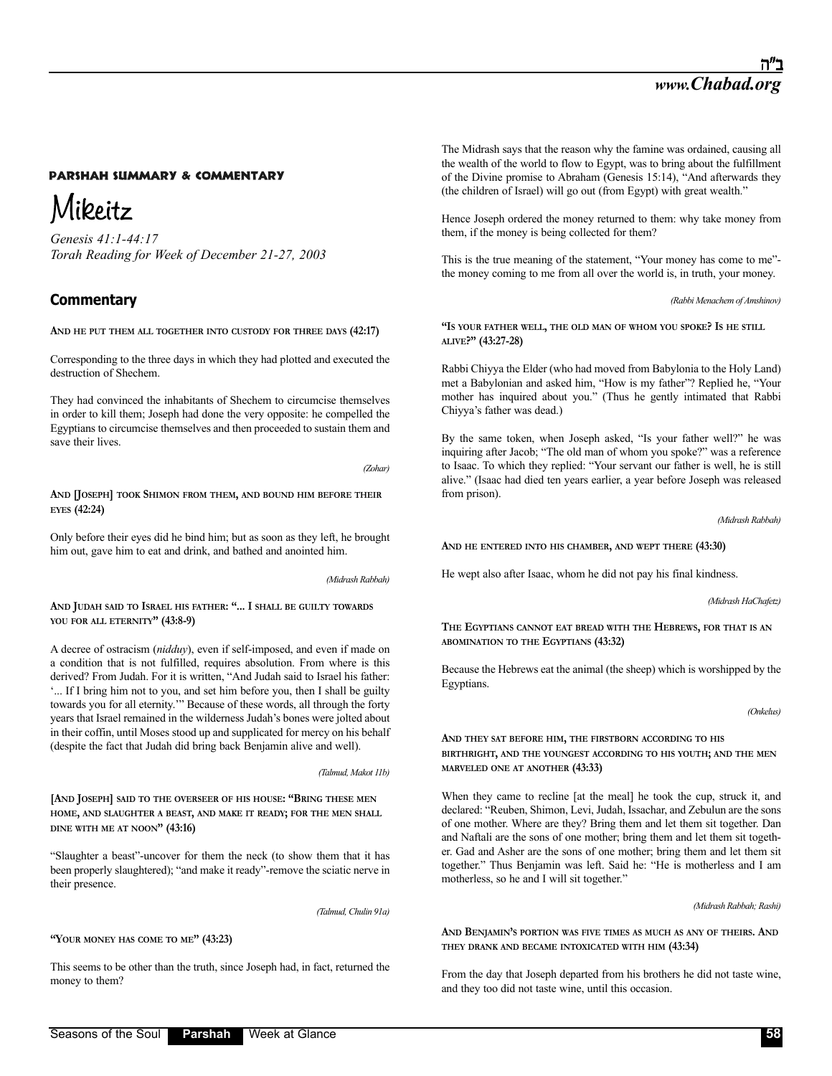# Mikeitz

*Genesis 41:1-44:17 Torah Reading for Week of December 21-27, 2003*

# **Commentary**

**AND HE PUT THEM ALL TOGETHER INTO CUSTODY FOR THREE DAYS (42:17)**

Corresponding to the three days in which they had plotted and executed the destruction of Shechem.

They had convinced the inhabitants of Shechem to circumcise themselves in order to kill them; Joseph had done the very opposite: he compelled the Egyptians to circumcise themselves and then proceeded to sustain them and save their lives.

*(Zohar)*

**AND [JOSEPH] TOOK SHIMON FROM THEM, AND BOUND HIM BEFORE THEIR EYES (42:24)**

Only before their eyes did he bind him; but as soon as they left, he brought him out, gave him to eat and drink, and bathed and anointed him.

*(Midrash Rabbah)*

**AND JUDAH SAID TO ISRAEL HIS FATHER: "... I SHALL BE GUILTY TOWARDS YOU FOR ALL ETERNITY" (43:8-9)**

A decree of ostracism (*nidduy*), even if self-imposed, and even if made on a condition that is not fulfilled, requires absolution. From where is this derived? From Judah. For it is written, "And Judah said to Israel his father: '... If I bring him not to you, and set him before you, then I shall be guilty towards you for all eternity.'" Because of these words, all through the forty years that Israel remained in the wilderness Judah's bones were jolted about in their coffin, until Moses stood up and supplicated for mercy on his behalf (despite the fact that Judah did bring back Benjamin alive and well).

#### *(Talmud, Makot 11b)*

**[AND JOSEPH] SAID TO THE OVERSEER OF HIS HOUSE: "BRING THESE MEN HOME, AND SLAUGHTER A BEAST, AND MAKE IT READY; FOR THE MEN SHALL DINE WITH ME AT NOON" (43:16)**

"Slaughter a beast"-uncover for them the neck (to show them that it has been properly slaughtered); "and make it ready"-remove the sciatic nerve in their presence.

*(Talmud, Chulin 91a)*

**"YOUR MONEY HAS COME TO ME" (43:23)**

This seems to be other than the truth, since Joseph had, in fact, returned the money to them?

The Midrash says that the reason why the famine was ordained, causing all the wealth of the world to flow to Egypt, was to bring about the fulfillment of the Divine promise to Abraham (Genesis 15:14), "And afterwards they (the children of Israel) will go out (from Egypt) with great wealth."

Hence Joseph ordered the money returned to them: why take money from them, if the money is being collected for them?

This is the true meaning of the statement, "Your money has come to me" the money coming to me from all over the world is, in truth, your money.

*(Rabbi Menachem of Amshinov)*

**"IS YOUR FATHER WELL, THE OLD MAN OF WHOM YOU SPOKE? IS HE STILL ALIVE?" (43:27-28)**

Rabbi Chiyya the Elder (who had moved from Babylonia to the Holy Land) met a Babylonian and asked him, "How is my father"? Replied he, "Your mother has inquired about you." (Thus he gently intimated that Rabbi Chiyya's father was dead.)

By the same token, when Joseph asked, "Is your father well?" he was inquiring after Jacob; "The old man of whom you spoke?" was a reference to Isaac. To which they replied: "Your servant our father is well, he is still alive." (Isaac had died ten years earlier, a year before Joseph was released from prison).

*(Midrash Rabbah)*

**AND HE ENTERED INTO HIS CHAMBER, AND WEPT THERE (43:30)**

He wept also after Isaac, whom he did not pay his final kindness.

*(Midrash HaChafetz)*

**THE EGYPTIANS CANNOT EAT BREAD WITH THE HEBREWS, FOR THAT IS AN ABOMINATION TO THE EGYPTIANS (43:32)**

Because the Hebrews eat the animal (the sheep) which is worshipped by the Egyptians.

*(Onkelus)*

**AND THEY SAT BEFORE HIM, THE FIRSTBORN ACCORDING TO HIS BIRTHRIGHT, AND THE YOUNGEST ACCORDING TO HIS YOUTH; AND THE MEN MARVELED ONE AT ANOTHER (43:33)**

When they came to recline [at the meal] he took the cup, struck it, and declared: "Reuben, Shimon, Levi, Judah, Issachar, and Zebulun are the sons of one mother. Where are they? Bring them and let them sit together. Dan and Naftali are the sons of one mother; bring them and let them sit together. Gad and Asher are the sons of one mother; bring them and let them sit together." Thus Benjamin was left. Said he: "He is motherless and I am motherless, so he and I will sit together."

*(Midrash Rabbah; Rashi)*

**AND BENJAMIN'S PORTION WAS FIVE TIMES AS MUCH AS ANY OF THEIRS. AND THEY DRANK AND BECAME INTOXICATED WITH HIM (43:34)**

From the day that Joseph departed from his brothers he did not taste wine, and they too did not taste wine, until this occasion.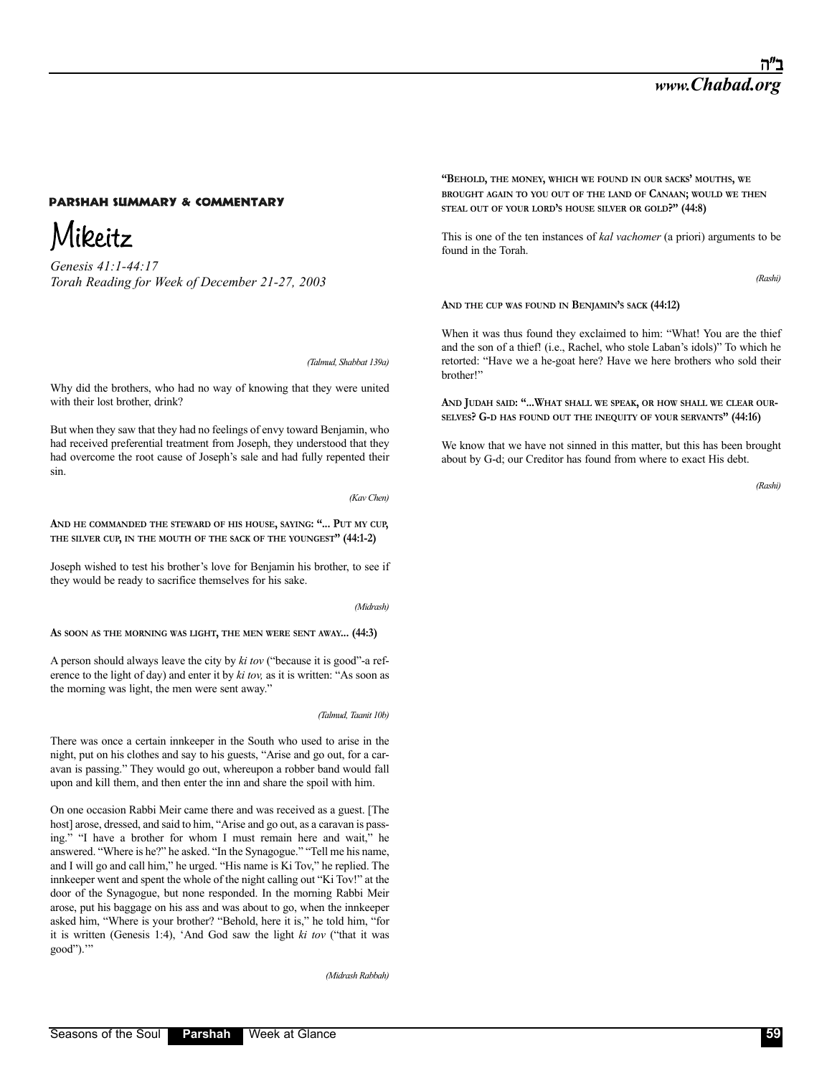Mikeitz

*Genesis 41:1-44:17 Torah Reading for Week of December 21-27, 2003*

*(Talmud, Shabbat 139a)*

Why did the brothers, who had no way of knowing that they were united with their lost brother, drink?

But when they saw that they had no feelings of envy toward Benjamin, who had received preferential treatment from Joseph, they understood that they had overcome the root cause of Joseph's sale and had fully repented their sin.

*(Kav Chen)*

**AND HE COMMANDED THE STEWARD OF HIS HOUSE, SAYING: "... PUT MY CUP, THE SILVER CUP, IN THE MOUTH OF THE SACK OF THE YOUNGEST" (44:1-2)**

Joseph wished to test his brother's love for Benjamin his brother, to see if they would be ready to sacrifice themselves for his sake.

*(Midrash)*

**AS SOON AS THE MORNING WAS LIGHT, THE MEN WERE SENT AWAY... (44:3)**

A person should always leave the city by *ki tov* ("because it is good"-a reference to the light of day) and enter it by *ki tov,* as it is written: "As soon as the morning was light, the men were sent away."

*(Talmud, Taanit 10b)*

There was once a certain innkeeper in the South who used to arise in the night, put on his clothes and say to his guests, "Arise and go out, for a caravan is passing." They would go out, whereupon a robber band would fall upon and kill them, and then enter the inn and share the spoil with him.

On one occasion Rabbi Meir came there and was received as a guest. [The host] arose, dressed, and said to him, "Arise and go out, as a caravan is passing." "I have a brother for whom I must remain here and wait," he answered. "Where is he?" he asked. "In the Synagogue." "Tell me his name, and I will go and call him," he urged. "His name is Ki Tov," he replied. The innkeeper went and spent the whole of the night calling out "Ki Tov!" at the door of the Synagogue, but none responded. In the morning Rabbi Meir arose, put his baggage on his ass and was about to go, when the innkeeper asked him, "Where is your brother? "Behold, here it is," he told him, "for it is written (Genesis 1:4), 'And God saw the light *ki tov* ("that it was good").'"

*(Midrash Rabbah)*

**"BEHOLD, THE MONEY, WHICH WE FOUND IN OUR SACKS' MOUTHS, WE BROUGHT AGAIN TO YOU OUT OF THE LAND OF CANAAN; WOULD WE THEN STEAL OUT OF YOUR LORD'S HOUSE SILVER OR GOLD?" (44:8)**

This is one of the ten instances of *kal vachomer* (a priori) arguments to be found in the Torah.

*(Rashi)*

**AND THE CUP WAS FOUND IN BENJAMIN'S SACK (44:12)**

When it was thus found they exclaimed to him: "What! You are the thief and the son of a thief! (i.e., Rachel, who stole Laban's idols)" To which he retorted: "Have we a he-goat here? Have we here brothers who sold their brother!"

**AND JUDAH SAID: "...WHAT SHALL WE SPEAK, OR HOW SHALL WE CLEAR OUR-SELVES? G-D HAS FOUND OUT THE INEQUITY OF YOUR SERVANTS" (44:16)**

We know that we have not sinned in this matter, but this has been brought about by G-d; our Creditor has found from where to exact His debt.

*(Rashi)*